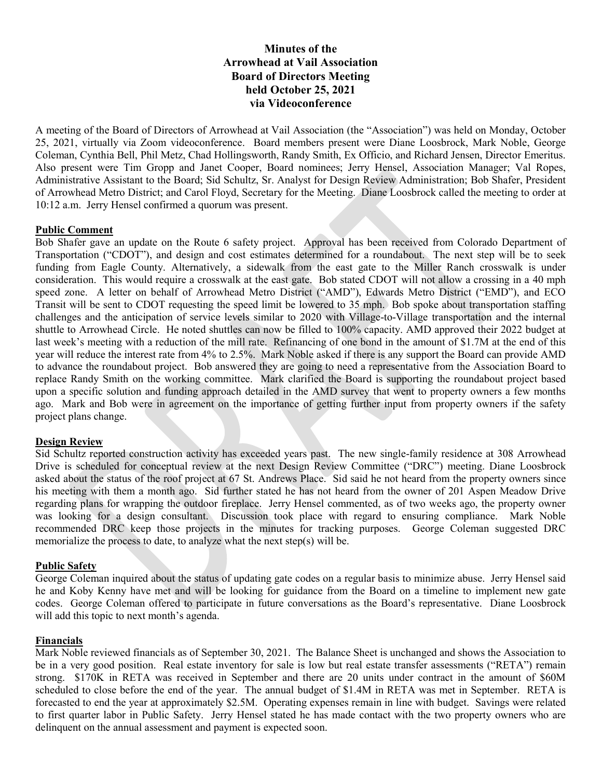# Minutes of the Arrowhead at Vail Association Board of Directors Meeting held October 25, 2021 via Videoconference

A meeting of the Board of Directors of Arrowhead at Vail Association (the "Association") was held on Monday, October 25, 2021, virtually via Zoom videoconference. Board members present were Diane Loosbrock, Mark Noble, George Coleman, Cynthia Bell, Phil Metz, Chad Hollingsworth, Randy Smith, Ex Officio, and Richard Jensen, Director Emeritus. Also present were Tim Gropp and Janet Cooper, Board nominees; Jerry Hensel, Association Manager; Val Ropes, Administrative Assistant to the Board; Sid Schultz, Sr. Analyst for Design Review Administration; Bob Shafer, President of Arrowhead Metro District; and Carol Floyd, Secretary for the Meeting. Diane Loosbrock called the meeting to order at 10:12 a.m. Jerry Hensel confirmed a quorum was present.

### Public Comment

Bob Shafer gave an update on the Route 6 safety project. Approval has been received from Colorado Department of Transportation ("CDOT"), and design and cost estimates determined for a roundabout. The next step will be to seek funding from Eagle County. Alternatively, a sidewalk from the east gate to the Miller Ranch crosswalk is under consideration. This would require a crosswalk at the east gate. Bob stated CDOT will not allow a crossing in a 40 mph speed zone. A letter on behalf of Arrowhead Metro District ("AMD"), Edwards Metro District ("EMD"), and ECO Transit will be sent to CDOT requesting the speed limit be lowered to 35 mph. Bob spoke about transportation staffing challenges and the anticipation of service levels similar to 2020 with Village-to-Village transportation and the internal shuttle to Arrowhead Circle. He noted shuttles can now be filled to 100% capacity. AMD approved their 2022 budget at last week's meeting with a reduction of the mill rate. Refinancing of one bond in the amount of \$1.7M at the end of this year will reduce the interest rate from 4% to 2.5%. Mark Noble asked if there is any support the Board can provide AMD to advance the roundabout project. Bob answered they are going to need a representative from the Association Board to replace Randy Smith on the working committee. Mark clarified the Board is supporting the roundabout project based upon a specific solution and funding approach detailed in the AMD survey that went to property owners a few months ago. Mark and Bob were in agreement on the importance of getting further input from property owners if the safety project plans change.

#### Design Review

Sid Schultz reported construction activity has exceeded years past. The new single-family residence at 308 Arrowhead Drive is scheduled for conceptual review at the next Design Review Committee ("DRC") meeting. Diane Loosbrock asked about the status of the roof project at 67 St. Andrews Place. Sid said he not heard from the property owners since his meeting with them a month ago. Sid further stated he has not heard from the owner of 201 Aspen Meadow Drive regarding plans for wrapping the outdoor fireplace. Jerry Hensel commented, as of two weeks ago, the property owner was looking for a design consultant. Discussion took place with regard to ensuring compliance. Mark Noble recommended DRC keep those projects in the minutes for tracking purposes. George Coleman suggested DRC memorialize the process to date, to analyze what the next step(s) will be.

#### Public Safety

George Coleman inquired about the status of updating gate codes on a regular basis to minimize abuse. Jerry Hensel said he and Koby Kenny have met and will be looking for guidance from the Board on a timeline to implement new gate codes. George Coleman offered to participate in future conversations as the Board's representative. Diane Loosbrock will add this topic to next month's agenda.

## Financials

Mark Noble reviewed financials as of September 30, 2021. The Balance Sheet is unchanged and shows the Association to be in a very good position. Real estate inventory for sale is low but real estate transfer assessments ("RETA") remain strong. \$170K in RETA was received in September and there are 20 units under contract in the amount of \$60M scheduled to close before the end of the year. The annual budget of \$1.4M in RETA was met in September. RETA is forecasted to end the year at approximately \$2.5M. Operating expenses remain in line with budget. Savings were related to first quarter labor in Public Safety. Jerry Hensel stated he has made contact with the two property owners who are delinquent on the annual assessment and payment is expected soon.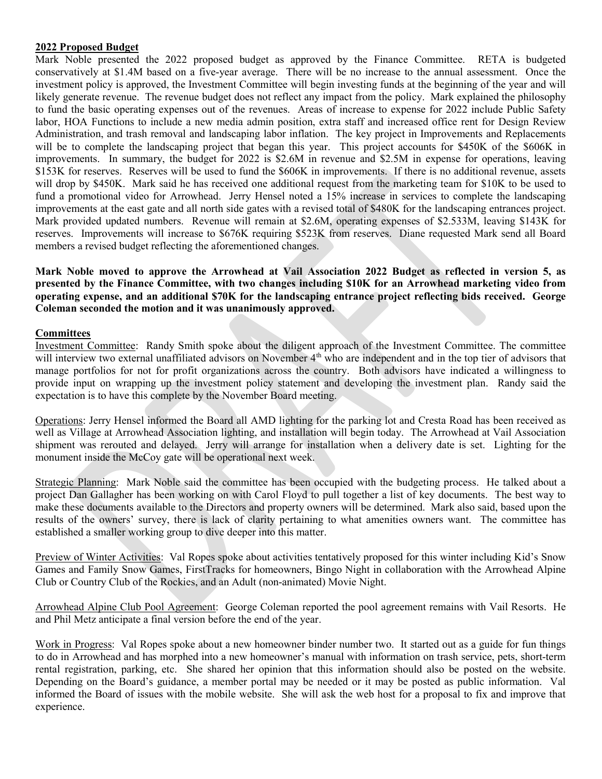### 2022 Proposed Budget

Mark Noble presented the 2022 proposed budget as approved by the Finance Committee. RETA is budgeted conservatively at \$1.4M based on a five-year average. There will be no increase to the annual assessment. Once the investment policy is approved, the Investment Committee will begin investing funds at the beginning of the year and will likely generate revenue. The revenue budget does not reflect any impact from the policy. Mark explained the philosophy to fund the basic operating expenses out of the revenues. Areas of increase to expense for 2022 include Public Safety labor, HOA Functions to include a new media admin position, extra staff and increased office rent for Design Review Administration, and trash removal and landscaping labor inflation. The key project in Improvements and Replacements will be to complete the landscaping project that began this year. This project accounts for \$450K of the \$606K in improvements. In summary, the budget for 2022 is \$2.6M in revenue and \$2.5M in expense for operations, leaving \$153K for reserves. Reserves will be used to fund the \$606K in improvements. If there is no additional revenue, assets will drop by \$450K. Mark said he has received one additional request from the marketing team for \$10K to be used to fund a promotional video for Arrowhead. Jerry Hensel noted a 15% increase in services to complete the landscaping improvements at the east gate and all north side gates with a revised total of \$480K for the landscaping entrances project. Mark provided updated numbers. Revenue will remain at \$2.6M, operating expenses of \$2.533M, leaving \$143K for reserves. Improvements will increase to \$676K requiring \$523K from reserves. Diane requested Mark send all Board members a revised budget reflecting the aforementioned changes.

Mark Noble moved to approve the Arrowhead at Vail Association 2022 Budget as reflected in version 5, as presented by the Finance Committee, with two changes including \$10K for an Arrowhead marketing video from operating expense, and an additional \$70K for the landscaping entrance project reflecting bids received. George Coleman seconded the motion and it was unanimously approved.

### **Committees**

Investment Committee: Randy Smith spoke about the diligent approach of the Investment Committee. The committee will interview two external unaffiliated advisors on November 4<sup>th</sup> who are independent and in the top tier of advisors that manage portfolios for not for profit organizations across the country. Both advisors have indicated a willingness to provide input on wrapping up the investment policy statement and developing the investment plan. Randy said the expectation is to have this complete by the November Board meeting.

Operations: Jerry Hensel informed the Board all AMD lighting for the parking lot and Cresta Road has been received as well as Village at Arrowhead Association lighting, and installation will begin today. The Arrowhead at Vail Association shipment was rerouted and delayed. Jerry will arrange for installation when a delivery date is set. Lighting for the monument inside the McCoy gate will be operational next week.

Strategic Planning: Mark Noble said the committee has been occupied with the budgeting process. He talked about a project Dan Gallagher has been working on with Carol Floyd to pull together a list of key documents. The best way to make these documents available to the Directors and property owners will be determined. Mark also said, based upon the results of the owners' survey, there is lack of clarity pertaining to what amenities owners want. The committee has established a smaller working group to dive deeper into this matter.

Preview of Winter Activities: Val Ropes spoke about activities tentatively proposed for this winter including Kid's Snow Games and Family Snow Games, FirstTracks for homeowners, Bingo Night in collaboration with the Arrowhead Alpine Club or Country Club of the Rockies, and an Adult (non-animated) Movie Night.

Arrowhead Alpine Club Pool Agreement: George Coleman reported the pool agreement remains with Vail Resorts. He and Phil Metz anticipate a final version before the end of the year.

Work in Progress: Val Ropes spoke about a new homeowner binder number two. It started out as a guide for fun things to do in Arrowhead and has morphed into a new homeowner's manual with information on trash service, pets, short-term rental registration, parking, etc. She shared her opinion that this information should also be posted on the website. Depending on the Board's guidance, a member portal may be needed or it may be posted as public information. Val informed the Board of issues with the mobile website. She will ask the web host for a proposal to fix and improve that experience.